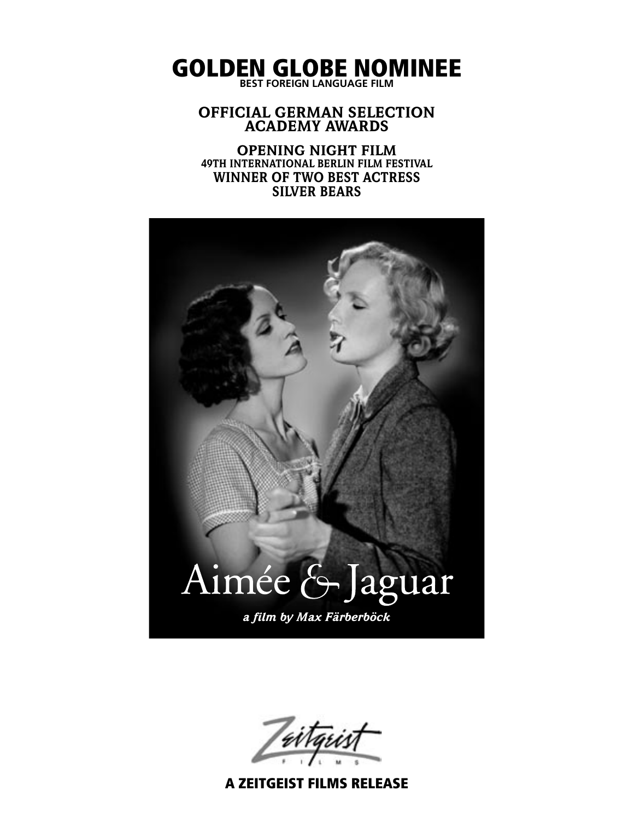GOLDEN GLOBE NOMINEE **BEST FOREIGN LANGUAGE FILM**

#### OFFICIAL GERMAN SELECTION ACADEMY AWARDS

OPENING NIGHT FILM 49TH INTERNATIONAL BERLIN FILM FESTIVAL WINNER OF TWO BEST ACTRESS SILVER BEARS



A ZEITGEIST FILMS RELEASE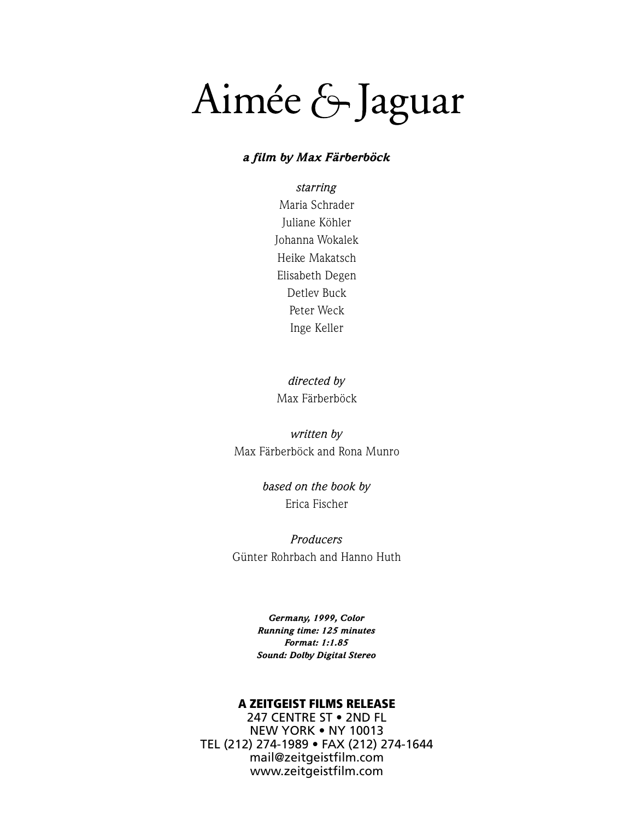# Aimée & Jaguar

#### *a film by Max Färberböck*

*starring* Maria Schrader Juliane Köhler Johanna Wokalek Heike Makatsch Elisabeth Degen Detlev Buck Peter Weck Inge Keller

*directed by* Max Färberböck

*written by* Max Färberböck and Rona Munro

> *based on the book by* Erica Fischer

*Producers* Günter Rohrbach and Hanno Huth

> *Germany, 1999, Color Running time: 125 minutes Format: 1:1.85 Sound: Dolby Digital Stereo*

#### A ZEITGEIST FILMS RELEASE

247 CENTRE ST • 2ND FL NEW YORK • NY 10013 TEL (212) 274-1989 • FAX (212) 274-1644 mail@zeitgeistfilm.com www.zeitgeistfilm.com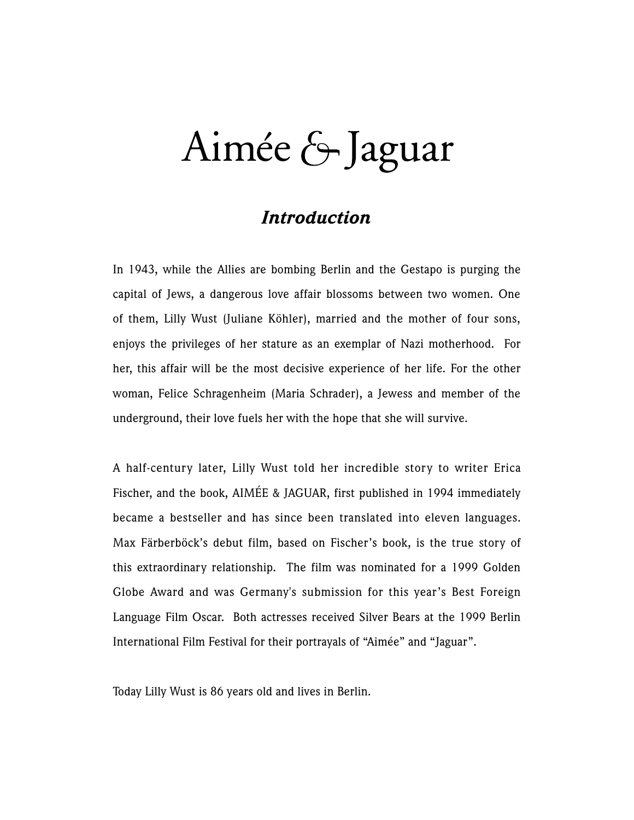# Aimée & Jaguar

### *Introduction*

In 1943, while the Allies are bombing Berlin and the Gestapo is purging the capital of Jews, a dangerous love affair blossoms between two women. One of them, Lilly Wust (Juliane Köhler), married and the mother of four sons, enjoys the privileges of her stature as an exemplar of Nazi motherhood. For her, this affair will be the most decisive experience of her life. For the other woman, Felice Schragenheim (Maria Schrader), a Jewess and member of the underground, their love fuels her with the hope that she will survive.

A half-century later, Lilly Wust told her incredible story to writer Erica Fischer, and the book, AIMÉE & JAGUAR, first published in 1994 immediately became a bestseller and has since been translated into eleven languages. Max Färberböck's debut film, based on Fischer's book, is the true story of this extraordinary relationship. The film was nominated for a 1999 Golden Globe Award and was Germany's submission for this year's Best Foreign Language Film Oscar. Both actresses received Silver Bears at the 1999 Berlin International Film Festival for their portrayals of "Aimée" and "Jaguar".

Today Lilly Wust is 86 years old and lives in Berlin.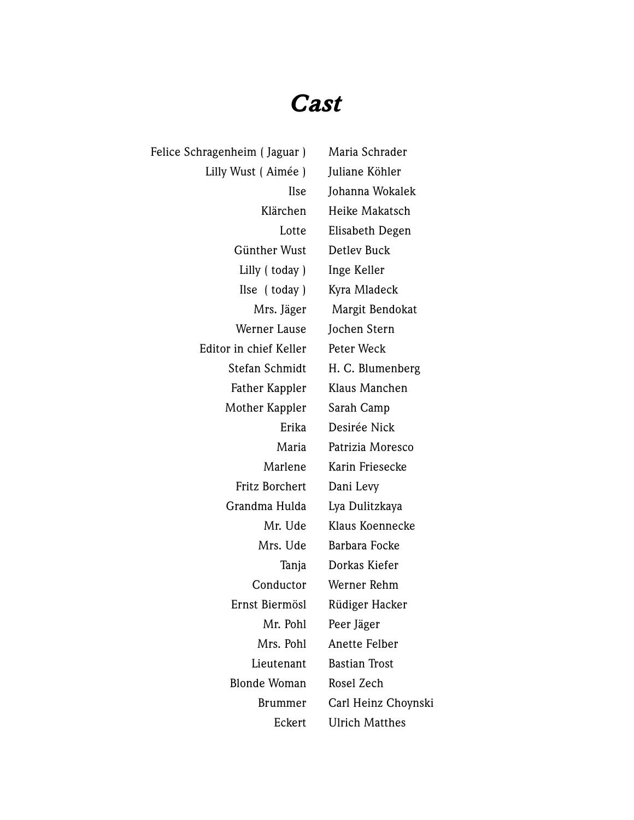## *Cast*

Felice Schragenheim (Jaguar) Maria Schrader Lilly Wust ( Aimée ) Juliane Köhler Ilse Johanna Wokalek Klärchen Heike Makatsch Lotte Elisabeth Degen Günther Wust Detlev Buck Lilly (today) Inge Keller Ilse ( today ) Kyra Mladeck Mrs. Jäger Margit Bendokat Werner Lause Jochen Stern Editor in chief Keller Peter Weck Stefan Schmidt H. C. Blumenberg Father Kappler Klaus Manchen Mother Kappler Sarah Camp Erika Desirée Nick Maria Patrizia Moresco Marlene Karin Friesecke Fritz Borchert Dani Levy Grandma Hulda Lya Dulitzkaya Mr. Ude Klaus Koennecke Mrs. Ude Barbara Focke Tanja Dorkas Kiefer Conductor Werner Rehm Ernst Biermösl Rüdiger Hacker Mr. Pohl Peer Jäger Mrs. Pohl Anette Felber Lieutenant Bastian Trost Blonde Woman Rosel Zech Brummer Carl Heinz Choynski Eckert Ulrich Matthes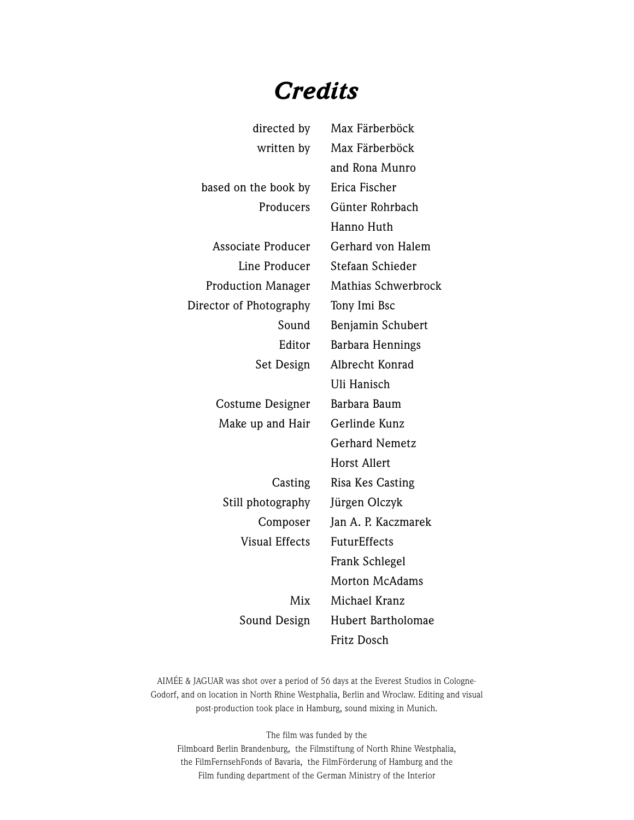## *Credits*

| directed by               | Max Färberböck        |
|---------------------------|-----------------------|
| written by                | Max Färberböck        |
|                           | and Rona Munro        |
| based on the book by      | Erica Fischer         |
| Producers                 | Günter Rohrbach       |
|                           | Hanno Huth            |
| <b>Associate Producer</b> | Gerhard von Halem     |
| Line Producer             | Stefaan Schieder      |
| <b>Production Manager</b> | Mathias Schwerbrock   |
| Director of Photography   | Tony Imi Bsc          |
| Sound                     | Benjamin Schubert     |
| Editor                    | Barbara Hennings      |
| Set Design                | Albrecht Konrad       |
|                           | Uli Hanisch           |
| Costume Designer          | Barbara Baum          |
| Make up and Hair          | Gerlinde Kunz         |
|                           | <b>Gerhard Nemetz</b> |
|                           | <b>Horst Allert</b>   |
| Casting                   | Risa Kes Casting      |
| Still photography         | Jürgen Olczyk         |
| Composer                  | Jan A. P. Kaczmarek   |
| <b>Visual Effects</b>     | FuturEffects          |
|                           | Frank Schlegel        |
|                           | <b>Morton McAdams</b> |
| Mix                       | Michael Kranz         |
| Sound Design              | Hubert Bartholomae    |
|                           | Fritz Dosch           |

AIMÉE & JAGUAR was shot over a period of 56 days at the Everest Studios in Cologne-Godorf, and on location in North Rhine Westphalia, Berlin and Wroclaw. Editing and visual post-production took place in Hamburg, sound mixing in Munich.

The film was funded by the Filmboard Berlin Brandenburg, the Filmstiftung of North Rhine Westphalia, the FilmFernsehFonds of Bavaria, the FilmFörderung of Hamburg and the Film funding department of the German Ministry of the Interior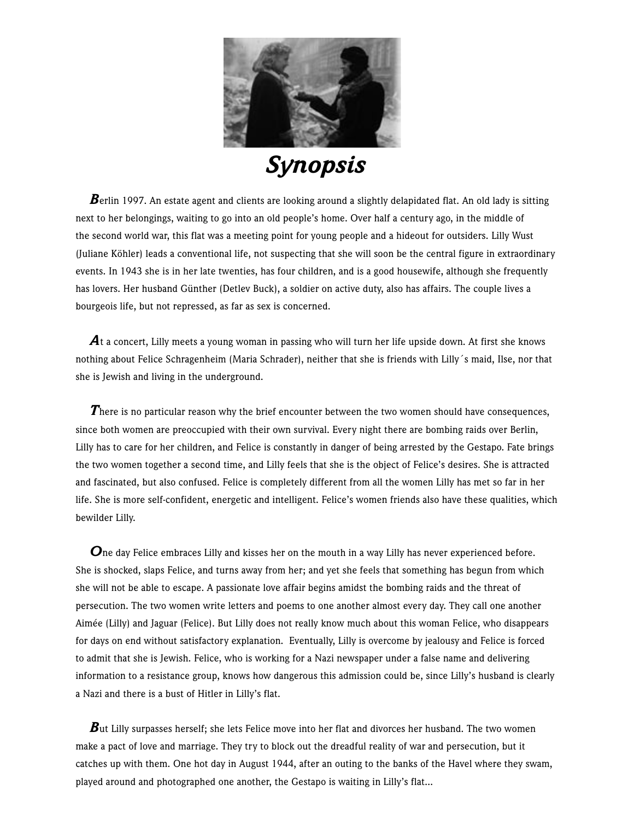

*Synopsis*

**B**erlin 1997. An estate agent and clients are looking around a slightly delapidated flat. An old lady is sitting next to her belongings, waiting to go into an old people's home. Over half a century ago, in the middle of the second world war, this flat was a meeting point for young people and a hideout for outsiders. Lilly Wust (Juliane Köhler) leads a conventional life, not suspecting that she will soon be the central figure in extraordinary events. In 1943 she is in her late twenties, has four children, and is a good housewife, although she frequently has lovers. Her husband Günther (Detlev Buck), a soldier on active duty, also has affairs. The couple lives a bourgeois life, but not repressed, as far as sex is concerned.

At a concert, Lilly meets a young woman in passing who will turn her life upside down. At first she knows nothing about Felice Schragenheim (Maria Schrader), neither that she is friends with Lilly´s maid, Ilse, nor that she is Jewish and living in the underground.

**There is no particular reason why the brief encounter between the two women should have consequences,** since both women are preoccupied with their own survival. Every night there are bombing raids over Berlin, Lilly has to care for her children, and Felice is constantly in danger of being arrested by the Gestapo. Fate brings the two women together a second time, and Lilly feels that she is the object of Felice's desires. She is attracted and fascinated, but also confused. Felice is completely different from all the women Lilly has met so far in her life. She is more self-confident, energetic and intelligent. Felice's women friends also have these qualities, which bewilder Lilly.

**O**ne day Felice embraces Lilly and kisses her on the mouth in a way Lilly has never experienced before. She is shocked, slaps Felice, and turns away from her; and yet she feels that something has begun from which she will not be able to escape. A passionate love affair begins amidst the bombing raids and the threat of persecution. The two women write letters and poems to one another almost every day. They call one another Aimée (Lilly) and Jaguar (Felice). But Lilly does not really know much about this woman Felice, who disappears for days on end without satisfactory explanation. Eventually, Lilly is overcome by jealousy and Felice is forced to admit that she is Jewish. Felice, who is working for a Nazi newspaper under a false name and delivering information to a resistance group, knows how dangerous this admission could be, since Lilly's husband is clearly a Nazi and there is a bust of Hitler in Lilly's flat.

*B*ut Lilly surpasses herself; she lets Felice move into her flat and divorces her husband. The two women make a pact of love and marriage. They try to block out the dreadful reality of war and persecution, but it catches up with them. One hot day in August 1944, after an outing to the banks of the Havel where they swam, played around and photographed one another, the Gestapo is waiting in Lilly's flat...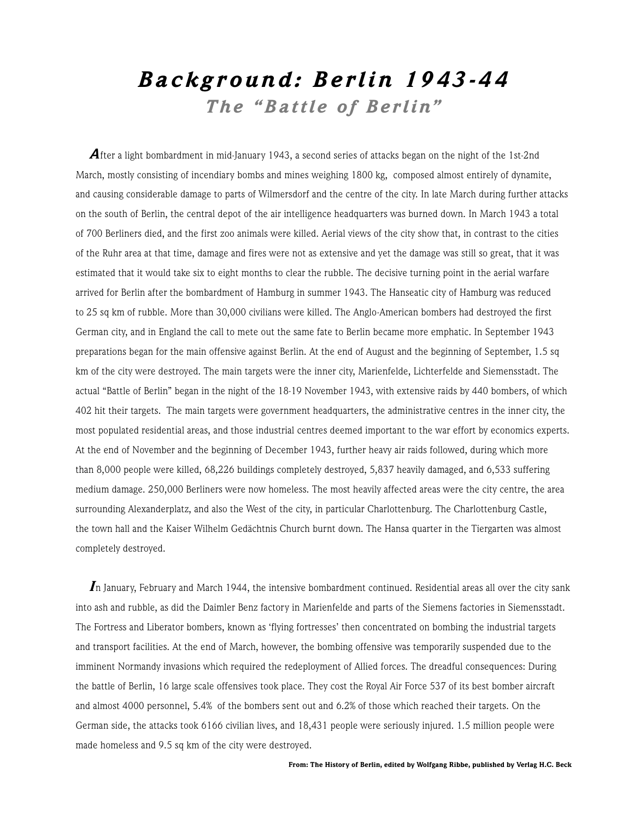## *Backgr ound: Berlin 1943-44 The "Battle of Berlin"*

After a light bombardment in mid-January 1943, a second series of attacks began on the night of the 1st-2nd March, mostly consisting of incendiary bombs and mines weighing 1800 kg, composed almost entirely of dynamite, and causing considerable damage to parts of Wilmersdorf and the centre of the city. In late March during further attacks on the south of Berlin, the central depot of the air intelligence headquarters was burned down. In March 1943 a total of 700 Berliners died, and the first zoo animals were killed. Aerial views of the city show that, in contrast to the cities of the Ruhr area at that time, damage and fires were not as extensive and yet the damage was still so great, that it was estimated that it would take six to eight months to clear the rubble. The decisive turning point in the aerial warfare arrived for Berlin after the bombardment of Hamburg in summer 1943. The Hanseatic city of Hamburg was reduced to 25 sq km of rubble. More than 30,000 civilians were killed. The Anglo-American bombers had destroyed the first German city, and in England the call to mete out the same fate to Berlin became more emphatic. In September 1943 preparations began for the main offensive against Berlin. At the end of August and the beginning of September, 1.5 sq km of the city were destroyed. The main targets were the inner city, Marienfelde, Lichterfelde and Siemensstadt. The actual "Battle of Berlin" began in the night of the 18-19 November 1943, with extensive raids by 440 bombers, of which 402 hit their targets. The main targets were government headquarters, the administrative centres in the inner city, the most populated residential areas, and those industrial centres deemed important to the war effort by economics experts. At the end of November and the beginning of December 1943, further heavy air raids followed, during which more than 8,000 people were killed, 68,226 buildings completely destroyed, 5,837 heavily damaged, and 6,533 suffering medium damage. 250,000 Berliners were now homeless. The most heavily affected areas were the city centre, the area surrounding Alexanderplatz, and also the West of the city, in particular Charlottenburg. The Charlottenburg Castle, the town hall and the Kaiser Wilhelm Gedächtnis Church burnt down. The Hansa quarter in the Tiergarten was almost completely destroyed.

*I*n January, February and March 1944, the intensive bombardment continued. Residential areas all over the city sank into ash and rubble, as did the Daimler Benz factory in Marienfelde and parts of the Siemens factories in Siemensstadt. The Fortress and Liberator bombers, known as 'flying fortresses' then concentrated on bombing the industrial targets and transport facilities. At the end of March, however, the bombing offensive was temporarily suspended due to the imminent Normandy invasions which required the redeployment of Allied forces. The dreadful consequences: During the battle of Berlin, 16 large scale offensives took place. They cost the Royal Air Force 537 of its best bomber aircraft and almost 4000 personnel, 5.4% of the bombers sent out and 6.2% of those which reached their targets. On the German side, the attacks took 6166 civilian lives, and 18,431 people were seriously injured. 1.5 million people were made homeless and 9.5 sq km of the city were destroyed.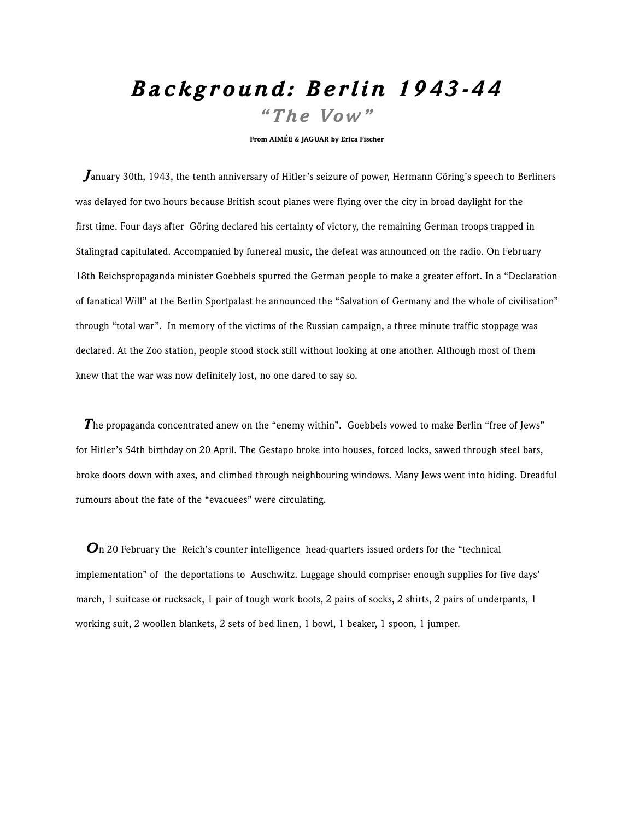## *Backgr ound: Berlin 1943-44 "The Vow "*

From AIMÉE & JAGUAR by Erica Fischer

 *J*anuary 30th, 1943, the tenth anniversary of Hitler's seizure of power, Hermann Göring's speech to Berliners was delayed for two hours because British scout planes were flying over the city in broad daylight for the first time. Four days after Göring declared his certainty of victory, the remaining German troops trapped in Stalingrad capitulated. Accompanied by funereal music, the defeat was announced on the radio. On February 18th Reichspropaganda minister Goebbels spurred the German people to make a greater effort. In a "Declaration of fanatical Will" at the Berlin Sportpalast he announced the "Salvation of Germany and the whole of civilisation" through "total war". In memory of the victims of the Russian campaign, a three minute traffic stoppage was declared. At the Zoo station, people stood stock still without looking at one another. Although most of them knew that the war was now definitely lost, no one dared to say so.

 *T*he propaganda concentrated anew on the "enemy within". Goebbels vowed to make Berlin "free of Jews" for Hitler's 54th birthday on 20 April. The Gestapo broke into houses, forced locks, sawed through steel bars, broke doors down with axes, and climbed through neighbouring windows. Many Jews went into hiding. Dreadful rumours about the fate of the "evacuees" were circulating.

*On* 20 February the Reich's counter intelligence head-quarters issued orders for the "technical implementation" of the deportations to Auschwitz. Luggage should comprise: enough supplies for five days' march, 1 suitcase or rucksack, 1 pair of tough work boots, 2 pairs of socks, 2 shirts, 2 pairs of underpants, 1 working suit, 2 woollen blankets, 2 sets of bed linen, 1 bowl, 1 beaker, 1 spoon, 1 jumper.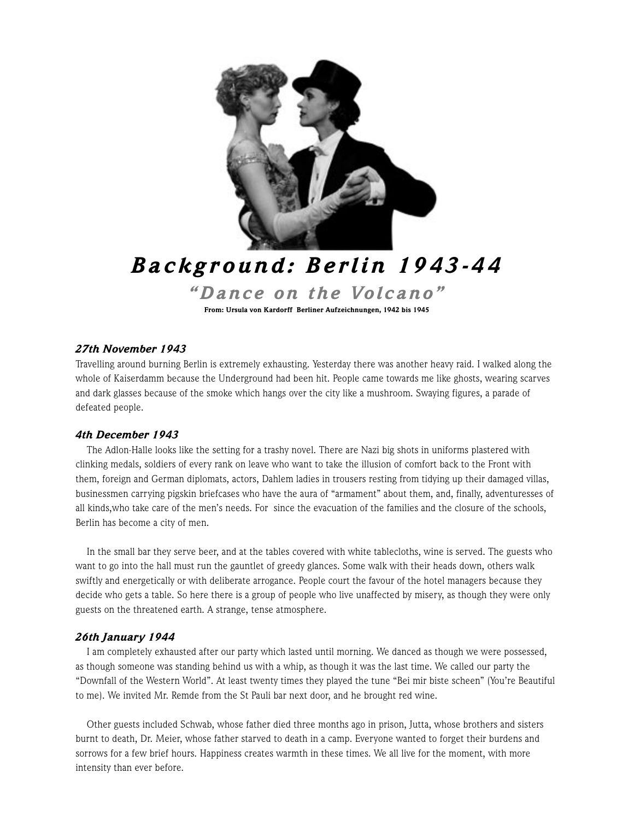

## *Backgr ound: Berlin 1943-44 "Dance on the Volcano"*

From: Ursula von Kardorff Berliner Aufzeichnungen, 1942 bis 1945

#### *27th November 1943*

Travelling around burning Berlin is extremely exhausting. Yesterday there was another heavy raid. I walked along the whole of Kaiserdamm because the Underground had been hit. People came towards me like ghosts, wearing scarves and dark glasses because of the smoke which hangs over the city like a mushroom. Swaying figures, a parade of defeated people.

#### *4th December 1943*

The Adlon-Halle looks like the setting for a trashy novel. There are Nazi big shots in uniforms plastered with clinking medals, soldiers of every rank on leave who want to take the illusion of comfort back to the Front with them, foreign and German diplomats, actors, Dahlem ladies in trousers resting from tidying up their damaged villas, businessmen carrying pigskin briefcases who have the aura of "armament" about them, and, finally, adventuresses of all kinds,who take care of the men's needs. For since the evacuation of the families and the closure of the schools, Berlin has become a city of men.

In the small bar they serve beer, and at the tables covered with white tablecloths, wine is served. The guests who want to go into the hall must run the gauntlet of greedy glances. Some walk with their heads down, others walk swiftly and energetically or with deliberate arrogance. People court the favour of the hotel managers because they decide who gets a table. So here there is a group of people who live unaffected by misery, as though they were only guests on the threatened earth. A strange, tense atmosphere.

#### *26th January 1944*

I am completely exhausted after our party which lasted until morning. We danced as though we were possessed, as though someone was standing behind us with a whip, as though it was the last time. We called our party the "Downfall of the Western World". At least twenty times they played the tune "Bei mir biste scheen" (You're Beautiful to me). We invited Mr. Remde from the St Pauli bar next door, and he brought red wine.

Other guests included Schwab, whose father died three months ago in prison, Jutta, whose brothers and sisters burnt to death, Dr. Meier, whose father starved to death in a camp. Everyone wanted to forget their burdens and sorrows for a few brief hours. Happiness creates warmth in these times. We all live for the moment, with more intensity than ever before.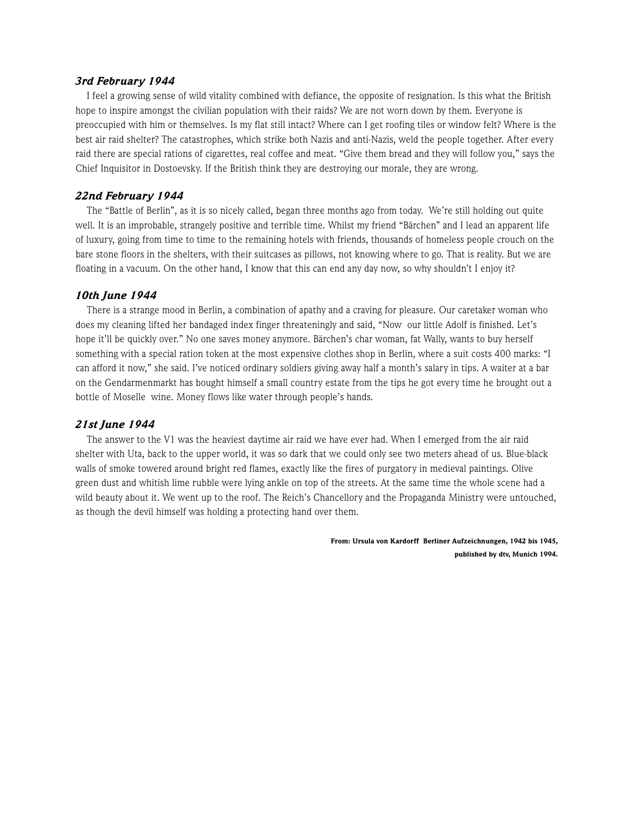#### *3rd February 1944*

I feel a growing sense of wild vitality combined with defiance, the opposite of resignation. Is this what the British hope to inspire amongst the civilian population with their raids? We are not worn down by them. Everyone is preoccupied with him or themselves. Is my flat still intact? Where can I get roofing tiles or window felt? Where is the best air raid shelter? The catastrophes, which strike both Nazis and anti-Nazis, weld the people together. After every raid there are special rations of cigarettes, real coffee and meat. "Give them bread and they will follow you," says the Chief Inquisitor in Dostoevsky. If the British think they are destroying our morale, they are wrong.

#### *22nd February 1944*

The "Battle of Berlin", as it is so nicely called, began three months ago from today. We're still holding out quite well. It is an improbable, strangely positive and terrible time. Whilst my friend "Bärchen" and I lead an apparent life of luxury, going from time to time to the remaining hotels with friends, thousands of homeless people crouch on the bare stone floors in the shelters, with their suitcases as pillows, not knowing where to go. That is reality. But we are floating in a vacuum. On the other hand, I know that this can end any day now, so why shouldn't I enjoy it?

#### *10th June 1944*

There is a strange mood in Berlin, a combination of apathy and a craving for pleasure. Our caretaker woman who does my cleaning lifted her bandaged index finger threateningly and said, "Now our little Adolf is finished. Let's hope it'll be quickly over." No one saves money anymore. Bärchen's char woman, fat Wally, wants to buy herself something with a special ration token at the most expensive clothes shop in Berlin, where a suit costs 400 marks: "I can afford it now," she said. I've noticed ordinary soldiers giving away half a month's salary in tips. A waiter at a bar on the Gendarmenmarkt has bought himself a small country estate from the tips he got every time he brought out a bottle of Moselle wine. Money flows like water through people's hands.

#### *21st June 1944*

The answer to the V1 was the heaviest daytime air raid we have ever had. When I emerged from the air raid shelter with Uta, back to the upper world, it was so dark that we could only see two meters ahead of us. Blue-black walls of smoke towered around bright red flames, exactly like the fires of purgatory in medieval paintings. Olive green dust and whitish lime rubble were lying ankle on top of the streets. At the same time the whole scene had a wild beauty about it. We went up to the roof. The Reich's Chancellory and the Propaganda Ministry were untouched, as though the devil himself was holding a protecting hand over them.

> From: Ursula von Kardorff Berliner Aufzeichnungen, 1942 bis 1945, published by dtv, Munich 1994.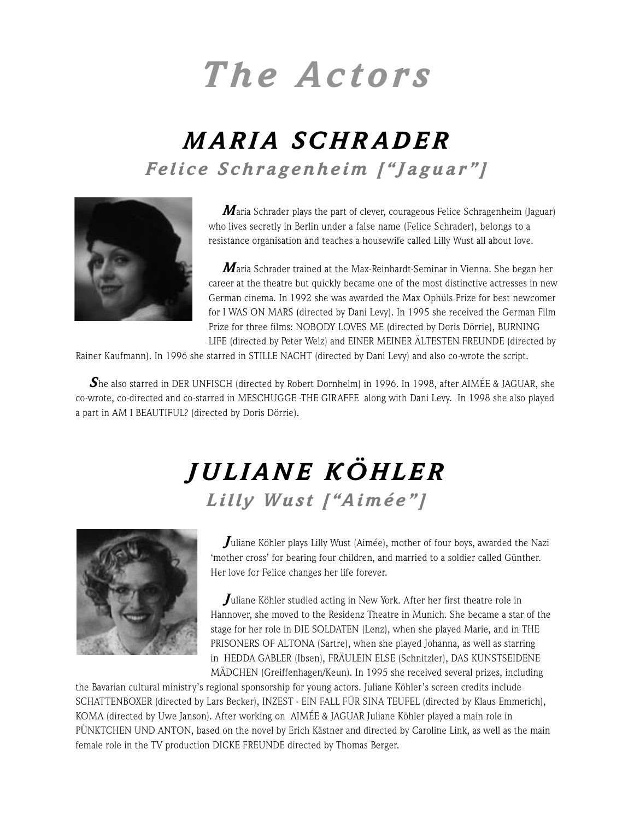# *The Actors*

## *MARIA SCHR ADER Felice Schragenheim ["Jaguar"]*



*M*aria Schrader plays the part of clever, courageous Felice Schragenheim (Jaguar) who lives secretly in Berlin under a false name (Felice Schrader), belongs to a resistance organisation and teaches a housewife called Lilly Wust all about love.

*M*aria Schrader trained at the Max-Reinhardt-Seminar in Vienna. She began her career at the theatre but quickly became one of the most distinctive actresses in new German cinema. In 1992 she was awarded the Max Ophüls Prize for best newcomer for I WAS ON MARS (directed by Dani Levy). In 1995 she received the German Film Prize for three films: NOBODY LOVES ME (directed by Doris Dörrie), BURNING LIFE (directed by Peter Welz) and EINER MEINER ÄLTESTEN FREUNDE (directed by

Rainer Kaufmann). In 1996 she starred in STILLE NACHT (directed by Dani Levy) and also co-wrote the script.

**S**he also starred in DER UNFISCH (directed by Robert Dornhelm) in 1996. In 1998, after AIMÉE & JAGUAR, she co-wrote, co-directed and co-starred in MESCHUGGE -THE GIRAFFE along with Dani Levy. In 1998 she also played a part in AM I BEAUTIFUL? (directed by Doris Dörrie).

## *JULIANE KÖHLER Lilly Wust ["Aimée"]*



*J*uliane Köhler plays Lilly Wust (Aimée), mother of four boys, awarded the Nazi 'mother cross' for bearing four children, and married to a soldier called Günther. Her love for Felice changes her life forever.

*J*uliane Köhler studied acting in New York. After her first theatre role in Hannover, she moved to the Residenz Theatre in Munich. She became a star of the stage for her role in DIE SOLDATEN (Lenz), when she played Marie, and in THE PRISONERS OF ALTONA (Sartre), when she played Johanna, as well as starring in HEDDA GABLER (Ibsen), FRÄULEIN ELSE (Schnitzler), DAS KUNSTSEIDENE MÄDCHEN (Greiffenhagen/Keun). In 1995 she received several prizes, including

the Bavarian cultural ministry's regional sponsorship for young actors. Juliane Köhler's screen credits include SCHATTENBOXER (directed by Lars Becker), INZEST - EIN FALL FÜR SINA TEUFEL (directed by Klaus Emmerich), KOMA (directed by Uwe Janson). After working on AIMÉE & JAGUAR Juliane Köhler played a main role in PÜNKTCHEN UND ANTON, based on the novel by Erich Kästner and directed by Caroline Link, as well as the main female role in the TV production DICKE FREUNDE directed by Thomas Berger.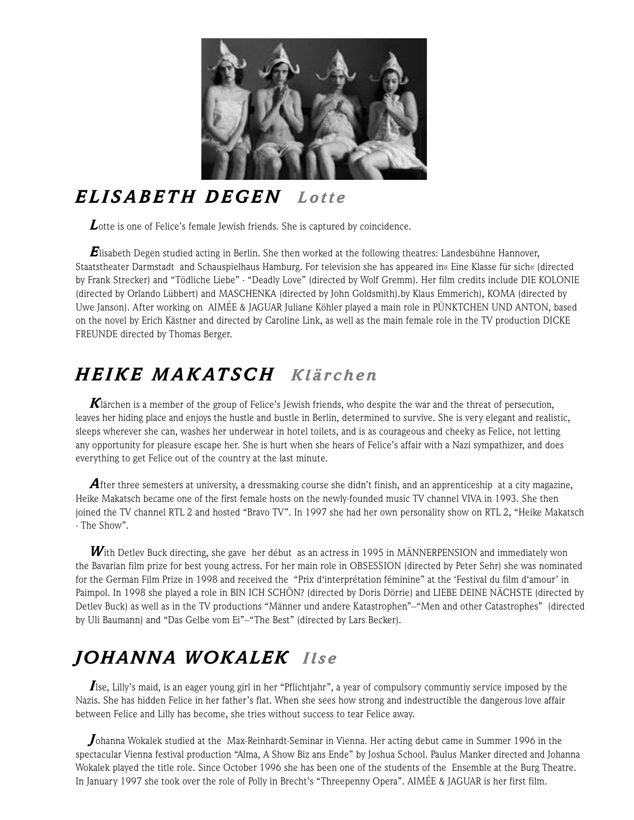

## *ELISABETH DEGEN Lotte*

**L**otte is one of Felice's female Jewish friends. She is captured by coincidence.

*E*lisabeth Degen studied acting in Berlin. She then worked at the following theatres: Landesbühne Hannover, Staatstheater Darmstadt and Schauspielhaus Hamburg. For television she has appeared in« Eine Klasse für sich« (directed by Frank Strecker) and "Tödliche Liebe" - "Deadly Love" (directed by Wolf Gremm). Her film credits include DIE KOLONIE (directed by Orlando Lübbert) and MASCHENKA (directed by John Goldsmith).by Klaus Emmerich), KOMA (directed by Uwe Janson). After working on AIMÉE & JAGUAR Juliane Köhler played a main role in PÜNKTCHEN UND ANTON, based on the novel by Erich Kästner and directed by Caroline Link, as well as the main female role in the TV production DICKE FREUNDE directed by Thomas Berger.

## *HEIKE MAKATSCH Klärchen*

*K*lärchen is a member of the group of Felice's Jewish friends, who despite the war and the threat of persecution, leaves her hiding place and enjoys the hustle and bustle in Berlin, determined to survive. She is very elegant and realistic, sleeps wherever she can, washes her underwear in hotel toilets, and is as courageous and cheeky as Felice, not letting any opportunity for pleasure escape her. She is hurt when she hears of Felice's affair with a Nazi sympathizer, and does everything to get Felice out of the country at the last minute.

**A**fter three semesters at university, a dressmaking course she didn't finish, and an apprenticeship at a city magazine, Heike Makatsch became one of the first female hosts on the newly-founded music TV channel VIVA in 1993. She then joined the TV channel RTL 2 and hosted "Bravo TV". In 1997 she had her own personality show on RTL 2, "Heike Makatsch - The Show".

*W*ith Detlev Buck directing, she gave her début as an actress in 1995 in MÄNNERPENSION and immediately won the Bavarian film prize for best young actress. For her main role in OBSESSION (directed by Peter Sehr) she was nominated for the German Film Prize in 1998 and received the "Prix d'interprétation féminine" at the 'Festival du film d'amour' in Paimpol. In 1998 she played a role in BIN ICH SCHÖN? (directed by Doris Dörrie) and LIEBE DEINE NÄCHSTE (directed by Detlev Buck) as well as in the TV productions "Männer und andere Katastrophen"–"Men and other Catastrophes" (directed by Uli Baumann) and "Das Gelbe vom Ei"–"The Best" (directed by Lars Becker).

## *JOHANNA WOKALEK Ilse*

*I*lse, Lilly's maid, is an eager young girl in her "Pflichtjahr", a year of compulsory communtiy service imposed by the Nazis. She has hidden Felice in her father's flat. When she sees how strong and indestructible the dangerous love affair between Felice and Lilly has become, she tries without success to tear Felice away.

*J*ohanna Wokalek studied at the Max-Reinhardt-Seminar in Vienna. Her acting debut came in Summer 1996 in the spectacular Vienna festival production "Alma, A Show Biz ans Ende" by Joshua School. Paulus Manker directed and Johanna Wokalek played the title role. Since October 1996 she has been one of the students of the Ensemble at the Burg Theatre. In January 1997 she took over the role of Polly in Brecht's "Threepenny Opera". AIMÉE & JAGUAR is her first film.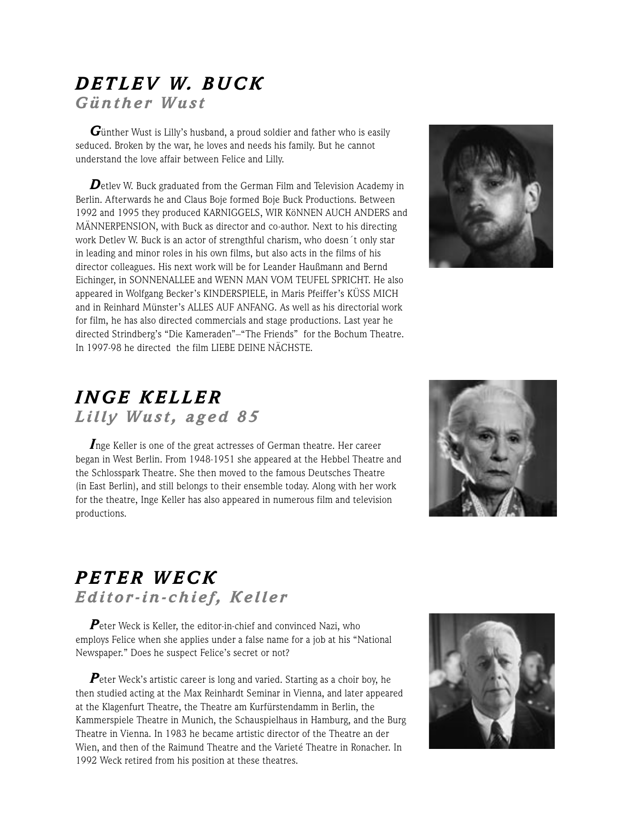### *DETLEV W. BUCK Günther Wust*

*G*ünther Wust is Lilly's husband, a proud soldier and father who is easily seduced. Broken by the war, he loves and needs his family. But he cannot understand the love affair between Felice and Lilly.

**D**etlev W. Buck graduated from the German Film and Television Academy in Berlin. Afterwards he and Claus Boje formed Boje Buck Productions. Between 1992 and 1995 they produced KARNIGGELS, WIR KöNNEN AUCH ANDERS and MÄNNERPENSION, with Buck as director and co-author. Next to his directing work Detlev W. Buck is an actor of strengthful charism, who doesn´t only star in leading and minor roles in his own films, but also acts in the films of his director colleagues. His next work will be for Leander Haußmann and Bernd Eichinger, in SONNENALLEE and WENN MAN VOM TEUFEL SPRICHT. He also appeared in Wolfgang Becker's KINDERSPIELE, in Maris Pfeiffer's KÜSS MICH and in Reinhard Münster's ALLES AUF ANFANG. As well as his directorial work for film, he has also directed commercials and stage productions. Last year he directed Strindberg's "Die Kameraden"–"The Friends" for the Bochum Theatre. In 1997-98 he directed the film LIEBE DEINE NÄCHSTE.



### *INGE KELLER Lilly Wust, aged 85*

*I*nge Keller is one of the great actresses of German theatre. Her career began in West Berlin. From 1948-1951 she appeared at the Hebbel Theatre and the Schlosspark Theatre. She then moved to the famous Deutsches Theatre (in East Berlin), and still belongs to their ensemble today. Along with her work for the theatre, Inge Keller has also appeared in numerous film and television productions.



## *PETER WECK Editor-in-chief, Keller*

*P*eter Weck is Keller, the editor-in-chief and convinced Nazi, who employs Felice when she applies under a false name for a job at his "National Newspaper." Does he suspect Felice's secret or not?

**P**eter Weck's artistic career is long and varied. Starting as a choir boy, he then studied acting at the Max Reinhardt Seminar in Vienna, and later appeared at the Klagenfurt Theatre, the Theatre am Kurfürstendamm in Berlin, the Kammerspiele Theatre in Munich, the Schauspielhaus in Hamburg, and the Burg Theatre in Vienna. In 1983 he became artistic director of the Theatre an der Wien, and then of the Raimund Theatre and the Varieté Theatre in Ronacher. In 1992 Weck retired from his position at these theatres.

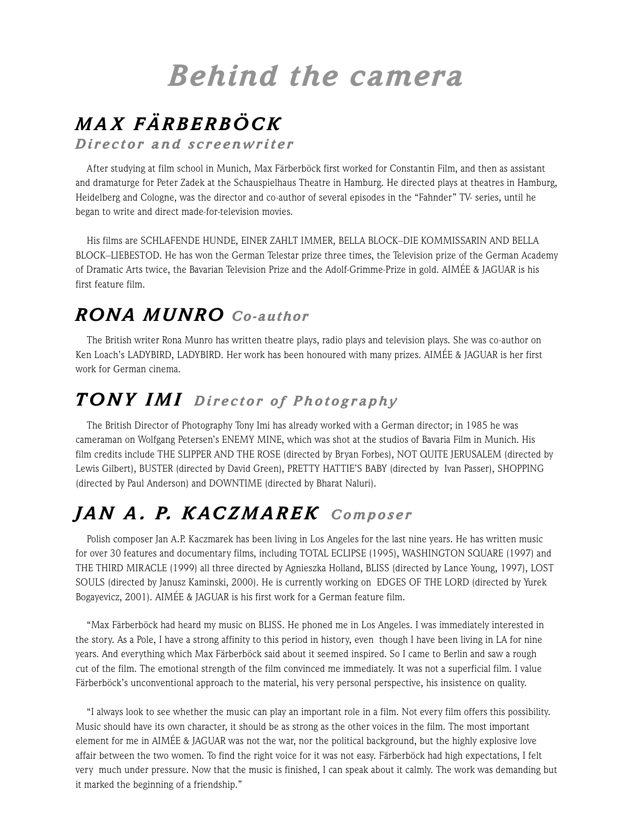## *Behind the camera*

## *MA X FÄRBERBÖCK*

*Director and screenwriter*

After studying at film school in Munich, Max Färberböck first worked for Constantin Film, and then as assistant and dramaturge for Peter Zadek at the Schauspielhaus Theatre in Hamburg. He directed plays at theatres in Hamburg, Heidelberg and Cologne, was the director and co-author of several episodes in the "Fahnder" TV- series, until he began to write and direct made-for-television movies.

His films are SCHLAFENDE HUNDE, EINER ZAHLT IMMER, BELLA BLOCK–DIE KOMMISSARIN AND BELLA BLOCK–LIEBESTOD. He has won the German Telestar prize three times, the Television prize of the German Academy of Dramatic Arts twice, the Bavarian Television Prize and the Adolf-Grimme-Prize in gold. AIMÉE & JAGUAR is his first feature film.

## *RONA MUNRO Co-author*

The British writer Rona Munro has written theatre plays, radio plays and television plays. She was co-author on Ken Loach's LADYBIRD, LADYBIRD. Her work has been honoured with many prizes. AIMÉE & JAGUAR is her first work for German cinema.

## *TONY IMI Director of Photography*

The British Director of Photography Tony Imi has already worked with a German director; in 1985 he was cameraman on Wolfgang Petersen's ENEMY MINE, which was shot at the studios of Bavaria Film in Munich. His film credits include THE SLIPPER AND THE ROSE (directed by Bryan Forbes), NOT QUITE JERUSALEM (directed by Lewis Gilbert), BUSTER (directed by David Green), PRETTY HATTIE'S BABY (directed by Ivan Passer), SHOPPING (directed by Paul Anderson) and DOWNTIME (directed by Bharat Naluri).

## *JAN A . P. KACZMAREK Composer*

Polish composer Jan A.P. Kaczmarek has been living in Los Angeles for the last nine years. He has written music for over 30 features and documentary films, including TOTAL ECLIPSE (1995), WASHINGTON SQUARE (1997) and THE THIRD MIRACLE (1999) all three directed by Agnieszka Holland, BLISS (directed by Lance Young, 1997), LOST SOULS (directed by Janusz Kaminski, 2000). He is currently working on EDGES OF THE LORD (directed by Yurek Bogayevicz, 2001). AIMÉE & JAGUAR is his first work for a German feature film.

"Max Färberböck had heard my music on BLISS. He phoned me in Los Angeles. I was immediately interested in the story. As a Pole, I have a strong affinity to this period in history, even though I have been living in LA for nine years. And everything which Max Färberböck said about it seemed inspired. So I came to Berlin and saw a rough cut of the film. The emotional strength of the film convinced me immediately. It was not a superficial film. I value Färberböck's unconventional approach to the material, his very personal perspective, his insistence on quality.

"I always look to see whether the music can play an important role in a film. Not every film offers this possibility. Music should have its own character, it should be as strong as the other voices in the film. The most important element for me in AIMÉE & JAGUAR was not the war, nor the political background, but the highly explosive love affair between the two women. To find the right voice for it was not easy. Färberböck had high expectations, I felt very much under pressure. Now that the music is finished, I can speak about it calmly. The work was demanding but it marked the beginning of a friendship."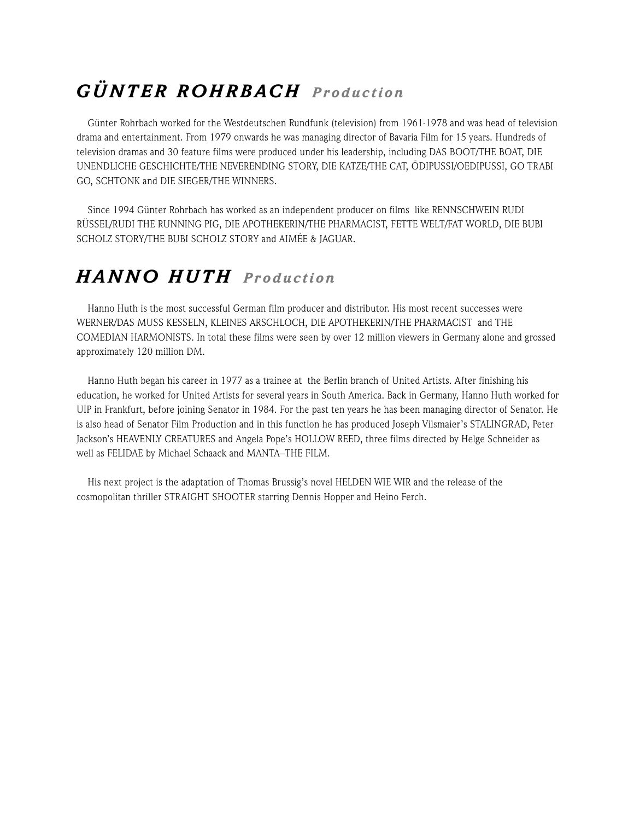## *GÜNTER ROHRBACH Pr oduction*

Günter Rohrbach worked for the Westdeutschen Rundfunk (television) from 1961-1978 and was head of television drama and entertainment. From 1979 onwards he was managing director of Bavaria Film for 15 years. Hundreds of television dramas and 30 feature films were produced under his leadership, including DAS BOOT/THE BOAT, DIE UNENDLICHE GESCHICHTE/THE NEVERENDING STORY, DIE KATZE/THE CAT, ÖDIPUSSI/OEDIPUSSI, GO TRABI GO, SCHTONK and DIE SIEGER/THE WINNERS.

Since 1994 Günter Rohrbach has worked as an independent producer on films like RENNSCHWEIN RUDI RÜSSEL/RUDI THE RUNNING PIG, DIE APOTHEKERIN/THE PHARMACIST, FETTE WELT/FAT WORLD, DIE BUBI SCHOLZ STORY/THE BUBI SCHOLZ STORY and AIMÉE & JAGUAR.

## *HANNO HUTH Pr oduction*

Hanno Huth is the most successful German film producer and distributor. His most recent successes were WERNER/DAS MUSS KESSELN, KLEINES ARSCHLOCH, DIE APOTHEKERIN/THE PHARMACIST and THE COMEDIAN HARMONISTS. In total these films were seen by over 12 million viewers in Germany alone and grossed approximately 120 million DM.

Hanno Huth began his career in 1977 as a trainee at the Berlin branch of United Artists. After finishing his education, he worked for United Artists for several years in South America. Back in Germany, Hanno Huth worked for UIP in Frankfurt, before joining Senator in 1984. For the past ten years he has been managing director of Senator. He is also head of Senator Film Production and in this function he has produced Joseph Vilsmaier's STALINGRAD, Peter Jackson's HEAVENLY CREATURES and Angela Pope's HOLLOW REED, three films directed by Helge Schneider as well as FELIDAE by Michael Schaack and MANTA–THE FILM.

His next project is the adaptation of Thomas Brussig's novel HELDEN WIE WIR and the release of the cosmopolitan thriller STRAIGHT SHOOTER starring Dennis Hopper and Heino Ferch.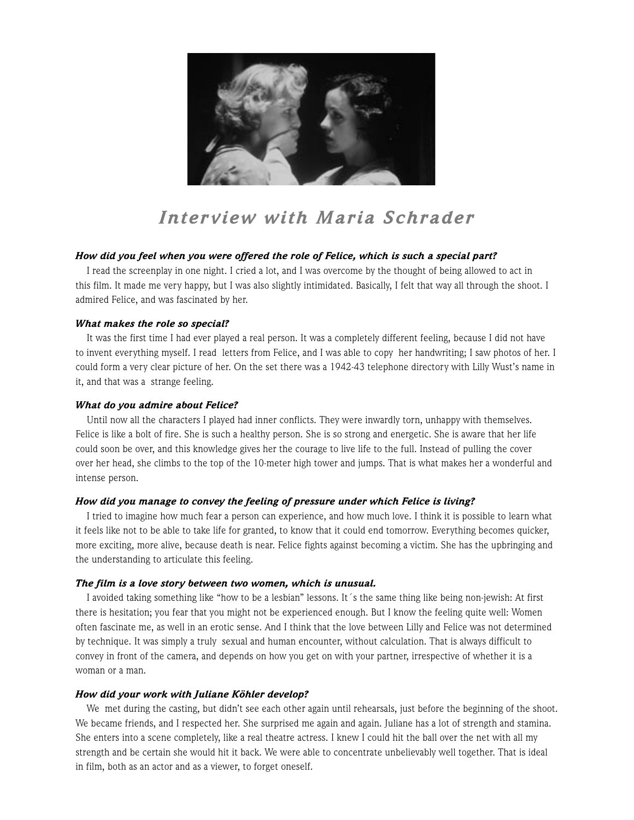

## *Inter view with Maria Schrader*

#### *How did you feel when you were offered the role of Felice, which is such a special part?*

I read the screenplay in one night. I cried a lot, and I was overcome by the thought of being allowed to act in this film. It made me very happy, but I was also slightly intimidated. Basically, I felt that way all through the shoot. I admired Felice, and was fascinated by her.

#### *What makes the role so special?*

It was the first time I had ever played a real person. It was a completely different feeling, because I did not have to invent everything myself. I read letters from Felice, and I was able to copy her handwriting; I saw photos of her. I could form a very clear picture of her. On the set there was a 1942-43 telephone directory with Lilly Wust's name in it, and that was a strange feeling.

#### *What do you admire about Felice?*

Until now all the characters I played had inner conflicts. They were inwardly torn, unhappy with themselves. Felice is like a bolt of fire. She is such a healthy person. She is so strong and energetic. She is aware that her life could soon be over, and this knowledge gives her the courage to live life to the full. Instead of pulling the cover over her head, she climbs to the top of the 10-meter high tower and jumps. That is what makes her a wonderful and intense person.

#### *How did you manage to convey the feeling of pressure under which Felice is living?*

I tried to imagine how much fear a person can experience, and how much love. I think it is possible to learn what it feels like not to be able to take life for granted, to know that it could end tomorrow. Everything becomes quicker, more exciting, more alive, because death is near. Felice fights against becoming a victim. She has the upbringing and the understanding to articulate this feeling.

#### *The film is a love story between two women, which is unusual.*

I avoided taking something like "how to be a lesbian" lessons. It´s the same thing like being non-jewish: At first there is hesitation; you fear that you might not be experienced enough. But I know the feeling quite well: Women often fascinate me, as well in an erotic sense. And I think that the love between Lilly and Felice was not determined by technique. It was simply a truly sexual and human encounter, without calculation. That is always difficult to convey in front of the camera, and depends on how you get on with your partner, irrespective of whether it is a woman or a man.

#### *How did your work with Juliane Köhler develop?*

We met during the casting, but didn't see each other again until rehearsals, just before the beginning of the shoot. We became friends, and I respected her. She surprised me again and again. Juliane has a lot of strength and stamina. She enters into a scene completely, like a real theatre actress. I knew I could hit the ball over the net with all my strength and be certain she would hit it back. We were able to concentrate unbelievably well together. That is ideal in film, both as an actor and as a viewer, to forget oneself.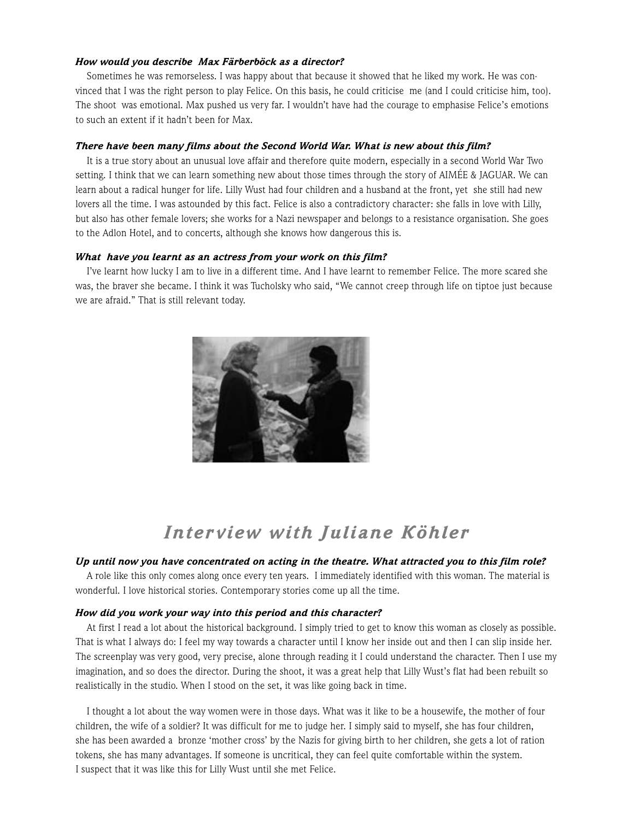#### *How would you describe Max Färberböck as a director?*

Sometimes he was remorseless. I was happy about that because it showed that he liked my work. He was convinced that I was the right person to play Felice. On this basis, he could criticise me (and I could criticise him, too). The shoot was emotional. Max pushed us very far. I wouldn't have had the courage to emphasise Felice's emotions to such an extent if it hadn't been for Max.

#### *There have been many films about the Second World War. What is new about this film?*

It is a true story about an unusual love affair and therefore quite modern, especially in a second World War Two setting. I think that we can learn something new about those times through the story of AIMÉE & JAGUAR. We can learn about a radical hunger for life. Lilly Wust had four children and a husband at the front, yet she still had new lovers all the time. I was astounded by this fact. Felice is also a contradictory character: she falls in love with Lilly, but also has other female lovers; she works for a Nazi newspaper and belongs to a resistance organisation. She goes to the Adlon Hotel, and to concerts, although she knows how dangerous this is.

#### *What have you learnt as an actress from your work on this film?*

I've learnt how lucky I am to live in a different time. And I have learnt to remember Felice. The more scared she was, the braver she became. I think it was Tucholsky who said, "We cannot creep through life on tiptoe just because we are afraid." That is still relevant today.



### *Inter view with Juliane Köhler*

#### *Up until now you have concentrated on acting in the theatre. What attracted you to this film role?*

A role like this only comes along once every ten years. I immediately identified with this woman. The material is wonderful. I love historical stories. Contemporary stories come up all the time.

#### *How did you work your way into this period and this character?*

At first I read a lot about the historical background. I simply tried to get to know this woman as closely as possible. That is what I always do: I feel my way towards a character until I know her inside out and then I can slip inside her. The screenplay was very good, very precise, alone through reading it I could understand the character. Then I use my imagination, and so does the director. During the shoot, it was a great help that Lilly Wust's flat had been rebuilt so realistically in the studio. When I stood on the set, it was like going back in time.

I thought a lot about the way women were in those days. What was it like to be a housewife, the mother of four children, the wife of a soldier? It was difficult for me to judge her. I simply said to myself, she has four children, she has been awarded a bronze 'mother cross' by the Nazis for giving birth to her children, she gets a lot of ration tokens, she has many advantages. If someone is uncritical, they can feel quite comfortable within the system. I suspect that it was like this for Lilly Wust until she met Felice.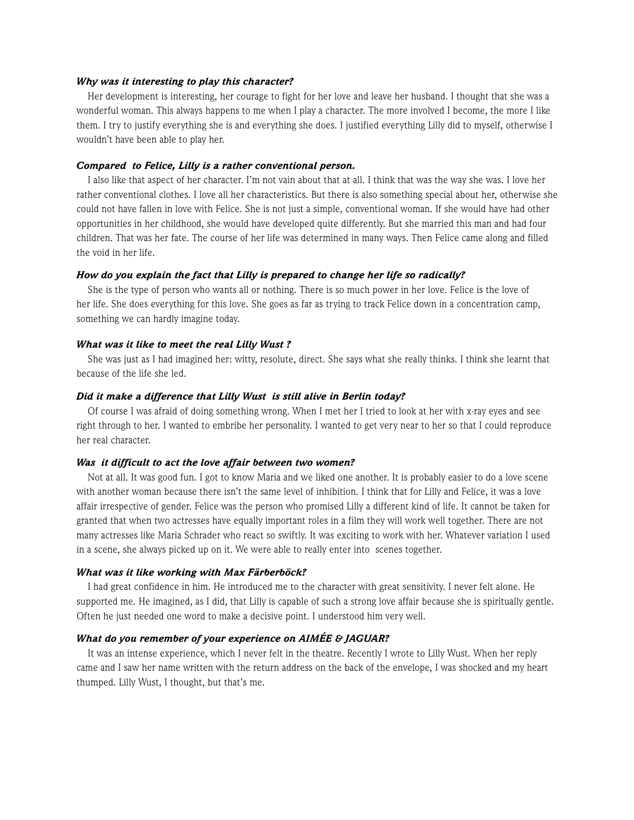#### *Why was it interesting to play this character?*

Her development is interesting, her courage to fight for her love and leave her husband. I thought that she was a wonderful woman. This always happens to me when I play a character. The more involved I become, the more I like them. I try to justify everything she is and everything she does. I justified everything Lilly did to myself, otherwise I wouldn't have been able to play her.

#### *Compared to Felice, Lilly is a rather conventional person.*

I also like that aspect of her character. I'm not vain about that at all. I think that was the way she was. I love her rather conventional clothes. I love all her characteristics. But there is also something special about her, otherwise she could not have fallen in love with Felice. She is not just a simple, conventional woman. If she would have had other opportunities in her childhood, she would have developed quite differently. But she married this man and had four children. That was her fate. The course of her life was determined in many ways. Then Felice came along and filled the void in her life.

#### *How do you explain the fact that Lilly is prepared to change her life so radically?*

She is the type of person who wants all or nothing. There is so much power in her love. Felice is the love of her life. She does everything for this love. She goes as far as trying to track Felice down in a concentration camp, something we can hardly imagine today.

#### *What was it like to meet the real Lilly Wust ?*

She was just as I had imagined her: witty, resolute, direct. She says what she really thinks. I think she learnt that because of the life she led.

#### *Did it make a difference that Lilly Wust is still alive in Berlin today?*

Of course I was afraid of doing something wrong. When I met her I tried to look at her with x-ray eyes and see right through to her. I wanted to embribe her personality. I wanted to get very near to her so that I could reproduce her real character.

#### *Was it difficult to act the love affair between two women?*

Not at all. It was good fun. I got to know Maria and we liked one another. It is probably easier to do a love scene with another woman because there isn't the same level of inhibition. I think that for Lilly and Felice, it was a love affair irrespective of gender. Felice was the person who promised Lilly a different kind of life. It cannot be taken for granted that when two actresses have equally important roles in a film they will work well together. There are not many actresses like Maria Schrader who react so swiftly. It was exciting to work with her. Whatever variation I used in a scene, she always picked up on it. We were able to really enter into scenes together.

#### *What was it like working with Max Färberböck?*

I had great confidence in him. He introduced me to the character with great sensitivity. I never felt alone. He supported me. He imagined, as I did, that Lilly is capable of such a strong love affair because she is spiritually gentle. Often he just needed one word to make a decisive point. I understood him very well.

#### *What do you remember of your experience on AIMÉE & JAGUAR?*

It was an intense experience, which I never felt in the theatre. Recently I wrote to Lilly Wust. When her reply came and I saw her name written with the return address on the back of the envelope, I was shocked and my heart thumped. Lilly Wust, I thought, but that's me.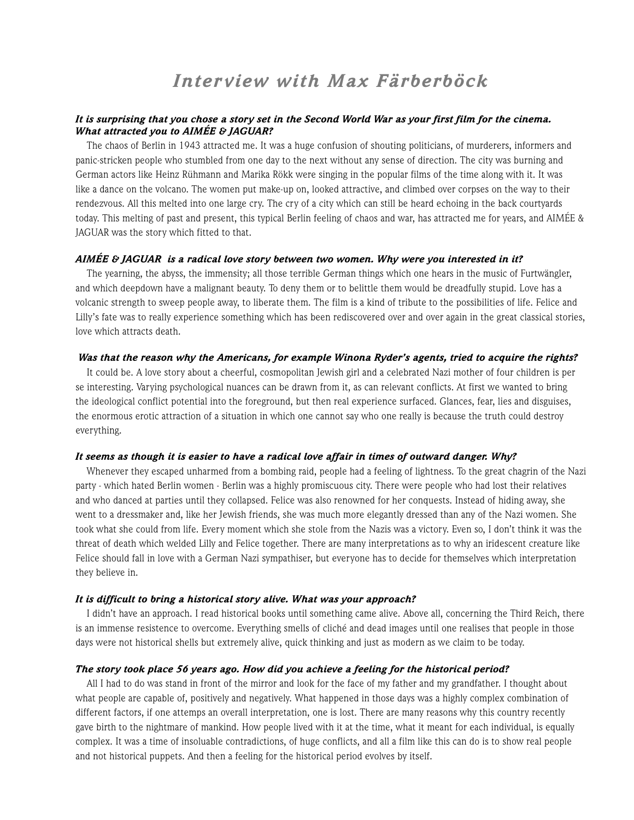### *Inter view with Max Färberböck*

#### *It is surprising that you chose a story set in the Second World War as your first film for the cinema. What attracted you to AIMÉE & JAGUAR?*

The chaos of Berlin in 1943 attracted me. It was a huge confusion of shouting politicians, of murderers, informers and panic-stricken people who stumbled from one day to the next without any sense of direction. The city was burning and German actors like Heinz Rühmann and Marika Rökk were singing in the popular films of the time along with it. It was like a dance on the volcano. The women put make-up on, looked attractive, and climbed over corpses on the way to their rendezvous. All this melted into one large cry. The cry of a city which can still be heard echoing in the back courtyards today. This melting of past and present, this typical Berlin feeling of chaos and war, has attracted me for years, and AIMÉE & JAGUAR was the story which fitted to that.

#### *AIMÉE & JAGUAR is a radical love story between two women. Why were you interested in it?*

The yearning, the abyss, the immensity; all those terrible German things which one hears in the music of Furtwängler, and which deepdown have a malignant beauty. To deny them or to belittle them would be dreadfully stupid. Love has a volcanic strength to sweep people away, to liberate them. The film is a kind of tribute to the possibilities of life. Felice and Lilly's fate was to really experience something which has been rediscovered over and over again in the great classical stories, love which attracts death.

#### *Was that the reason why the Americans, for example Winona Ryder's agents, tried to acquire the rights?*

It could be. A love story about a cheerful, cosmopolitan Jewish girl and a celebrated Nazi mother of four children is per se interesting. Varying psychological nuances can be drawn from it, as can relevant conflicts. At first we wanted to bring the ideological conflict potential into the foreground, but then real experience surfaced. Glances, fear, lies and disguises, the enormous erotic attraction of a situation in which one cannot say who one really is because the truth could destroy everything.

#### *It seems as though it is easier to have a radical love affair in times of outward danger. Why?*

Whenever they escaped unharmed from a bombing raid, people had a feeling of lightness. To the great chagrin of the Nazi party - which hated Berlin women - Berlin was a highly promiscuous city. There were people who had lost their relatives and who danced at parties until they collapsed. Felice was also renowned for her conquests. Instead of hiding away, she went to a dressmaker and, like her Jewish friends, she was much more elegantly dressed than any of the Nazi women. She took what she could from life. Every moment which she stole from the Nazis was a victory. Even so, I don't think it was the threat of death which welded Lilly and Felice together. There are many interpretations as to why an iridescent creature like Felice should fall in love with a German Nazi sympathiser, but everyone has to decide for themselves which interpretation they believe in.

#### *It is difficult to bring a historical story alive. What was your approach?*

I didn't have an approach. I read historical books until something came alive. Above all, concerning the Third Reich, there is an immense resistence to overcome. Everything smells of cliché and dead images until one realises that people in those days were not historical shells but extremely alive, quick thinking and just as modern as we claim to be today.

#### *The story took place 56 years ago. How did you achieve a feeling for the historical period?*

All I had to do was stand in front of the mirror and look for the face of my father and my grandfather. I thought about what people are capable of, positively and negatively. What happened in those days was a highly complex combination of different factors, if one attemps an overall interpretation, one is lost. There are many reasons why this country recently gave birth to the nightmare of mankind. How people lived with it at the time, what it meant for each individual, is equally complex. It was a time of insoluable contradictions, of huge conflicts, and all a film like this can do is to show real people and not historical puppets. And then a feeling for the historical period evolves by itself.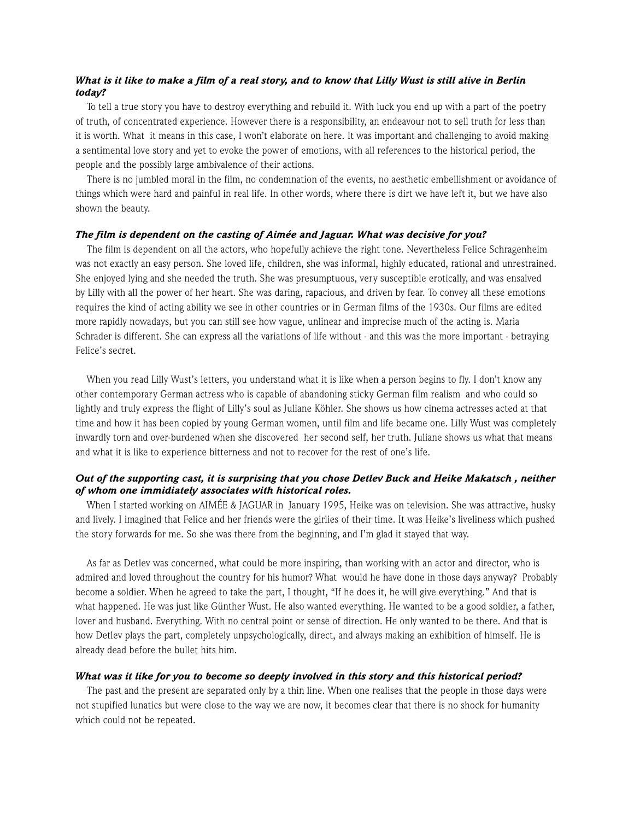#### *What is it like to make a film of a real story, and to know that Lilly Wust is still alive in Berlin today?*

To tell a true story you have to destroy everything and rebuild it. With luck you end up with a part of the poetry of truth, of concentrated experience. However there is a responsibility, an endeavour not to sell truth for less than it is worth. What it means in this case, I won't elaborate on here. It was important and challenging to avoid making a sentimental love story and yet to evoke the power of emotions, with all references to the historical period, the people and the possibly large ambivalence of their actions.

There is no jumbled moral in the film, no condemnation of the events, no aesthetic embellishment or avoidance of things which were hard and painful in real life. In other words, where there is dirt we have left it, but we have also shown the beauty.

#### *The film is dependent on the casting of Aimée and Jaguar. What was decisive for you?*

The film is dependent on all the actors, who hopefully achieve the right tone. Nevertheless Felice Schragenheim was not exactly an easy person. She loved life, children, she was informal, highly educated, rational and unrestrained. She enjoyed lying and she needed the truth. She was presumptuous, very susceptible erotically, and was ensalved by Lilly with all the power of her heart. She was daring, rapacious, and driven by fear. To convey all these emotions requires the kind of acting ability we see in other countries or in German films of the 1930s. Our films are edited more rapidly nowadays, but you can still see how vague, unlinear and imprecise much of the acting is. Maria Schrader is different. She can express all the variations of life without - and this was the more important - betraying Felice's secret.

When you read Lilly Wust's letters, you understand what it is like when a person begins to fly. I don't know any other contemporary German actress who is capable of abandoning sticky German film realism and who could so lightly and truly express the flight of Lilly's soul as Juliane Köhler. She shows us how cinema actresses acted at that time and how it has been copied by young German women, until film and life became one. Lilly Wust was completely inwardly torn and over-burdened when she discovered her second self, her truth. Juliane shows us what that means and what it is like to experience bitterness and not to recover for the rest of one's life.

#### *Out of the supporting cast, it is surprising that you chose Detlev Buck and Heike Makatsch , neither of whom one immidiately associates with historical roles.*

When I started working on AIMÉE & JAGUAR in January 1995, Heike was on television. She was attractive, husky and lively. I imagined that Felice and her friends were the girlies of their time. It was Heike's liveliness which pushed the story forwards for me. So she was there from the beginning, and I'm glad it stayed that way.

As far as Detlev was concerned, what could be more inspiring, than working with an actor and director, who is admired and loved throughout the country for his humor? What would he have done in those days anyway? Probably become a soldier. When he agreed to take the part, I thought, "If he does it, he will give everything." And that is what happened. He was just like Günther Wust. He also wanted everything. He wanted to be a good soldier, a father, lover and husband. Everything. With no central point or sense of direction. He only wanted to be there. And that is how Detlev plays the part, completely unpsychologically, direct, and always making an exhibition of himself. He is already dead before the bullet hits him.

#### *What was it like for you to become so deeply involved in this story and this historical period?*

The past and the present are separated only by a thin line. When one realises that the people in those days were not stupified lunatics but were close to the way we are now, it becomes clear that there is no shock for humanity which could not be repeated.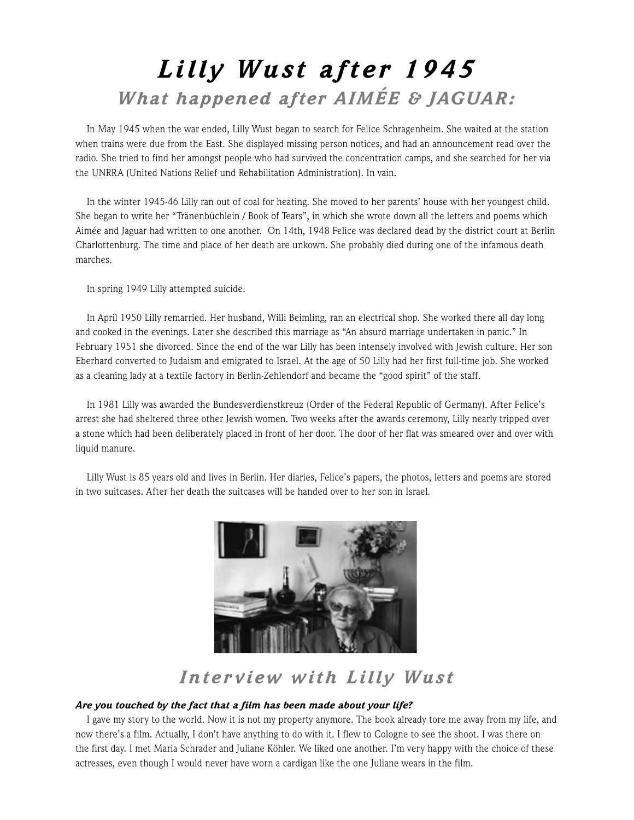## *Lilly Wust after 1945 What happened after AIMÉE & JAGUAR:*

In May 1945 when the war ended, Lilly Wust began to search for Felice Schragenheim. She waited at the station when trains were due from the East. She displayed missing person notices, and had an announcement read over the radio. She tried to find her amongst people who had survived the concentration camps, and she searched for her via the UNRRA (United Nations Relief und Rehabilitation Administration). In vain.

In the winter 1945-46 Lilly ran out of coal for heating. She moved to her parents' house with her youngest child. She began to write her "Tränenbüchlein / Book of Tears", in which she wrote down all the letters and poems which Aimée and Jaguar had written to one another. On 14th, 1948 Felice was declared dead by the district court at Berlin Charlottenburg. The time and place of her death are unkown. She probably died during one of the infamous death marches.

In spring 1949 Lilly attempted suicide.

In April 1950 Lilly remarried. Her husband, Willi Beimling, ran an electrical shop. She worked there all day long and cooked in the evenings. Later she described this marriage as "An absurd marriage undertaken in panic." In February 1951 she divorced. Since the end of the war Lilly has been intensely involved with Jewish culture. Her son Eberhard converted to Judaism and emigrated to Israel. At the age of 50 Lilly had her first full-time job. She worked as a cleaning lady at a textile factory in Berlin-Zehlendorf and became the "good spirit" of the staff.

In 1981 Lilly was awarded the Bundesverdienstkreuz (Order of the Federal Republic of Germany). After Felice's arrest she had sheltered three other Jewish women. Two weeks after the awards ceremony, Lilly nearly tripped over a stone which had been deliberately placed in front of her door. The door of her flat was smeared over and over with liquid manure.

Lilly Wust is 85 years old and lives in Berlin. Her diaries, Felice's papers, the photos, letters and poems are stored in two suitcases. After her death the suitcases will be handed over to her son in Israel.



## *Inter view with Lilly Wust*

#### *Are you touched by the fact that a film has been made about your life?*

I gave my story to the world. Now it is not my property anymore. The book already tore me away from my life, and now there's a film. Actually, I don't have anything to do with it. I flew to Cologne to see the shoot. I was there on the first day. I met Maria Schrader and Juliane Köhler. We liked one another. I'm very happy with the choice of these actresses, even though I would never have worn a cardigan like the one Juliane wears in the film.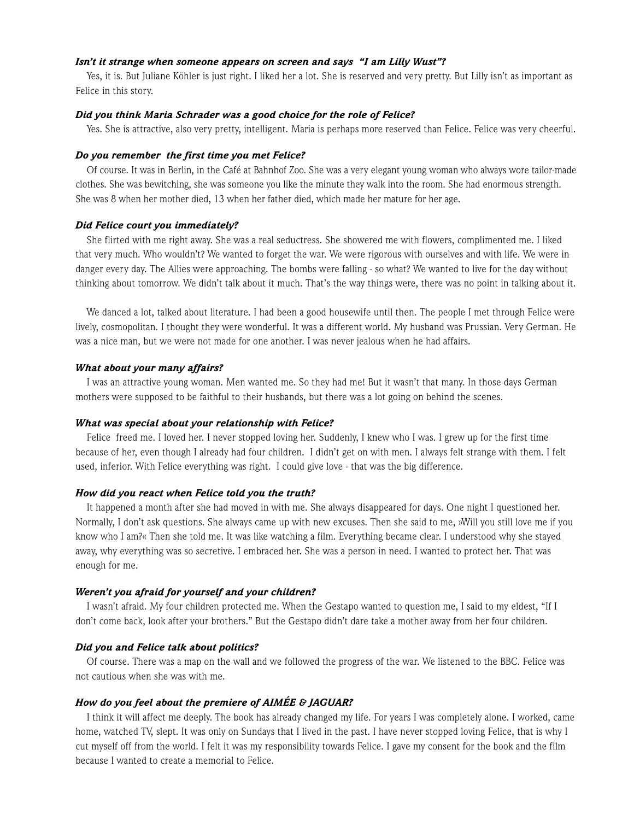#### *Isn't it strange when someone appears on screen and says "I am Lilly Wust"?*

Yes, it is. But Juliane Köhler is just right. I liked her a lot. She is reserved and very pretty. But Lilly isn't as important as Felice in this story.

#### *Did you think Maria Schrader was a good choice for the role of Felice?*

Yes. She is attractive, also very pretty, intelligent. Maria is perhaps more reserved than Felice. Felice was very cheerful.

#### *Do you remember the first time you met Felice?*

Of course. It was in Berlin, in the Café at Bahnhof Zoo. She was a very elegant young woman who always wore tailor-made clothes. She was bewitching, she was someone you like the minute they walk into the room. She had enormous strength. She was 8 when her mother died, 13 when her father died, which made her mature for her age.

#### *Did Felice court you immediately?*

She flirted with me right away. She was a real seductress. She showered me with flowers, complimented me. I liked that very much. Who wouldn't? We wanted to forget the war. We were rigorous with ourselves and with life. We were in danger every day. The Allies were approaching. The bombs were falling - so what? We wanted to live for the day without thinking about tomorrow. We didn't talk about it much. That's the way things were, there was no point in talking about it.

We danced a lot, talked about literature. I had been a good housewife until then. The people I met through Felice were lively, cosmopolitan. I thought they were wonderful. It was a different world. My husband was Prussian. Very German. He was a nice man, but we were not made for one another. I was never jealous when he had affairs.

#### *What about your many affairs?*

I was an attractive young woman. Men wanted me. So they had me! But it wasn't that many. In those days German mothers were supposed to be faithful to their husbands, but there was a lot going on behind the scenes.

#### *What was special about your relationship with Felice?*

Felice freed me. I loved her. I never stopped loving her. Suddenly, I knew who I was. I grew up for the first time because of her, even though I already had four children. I didn't get on with men. I always felt strange with them. I felt used, inferior. With Felice everything was right. I could give love - that was the big difference.

#### *How did you react when Felice told you the truth?*

It happened a month after she had moved in with me. She always disappeared for days. One night I questioned her. Normally, I don't ask questions. She always came up with new excuses. Then she said to me, »Will you still love me if you know who I am?« Then she told me. It was like watching a film. Everything became clear. I understood why she stayed away, why everything was so secretive. I embraced her. She was a person in need. I wanted to protect her. That was enough for me.

#### *Weren't you afraid for yourself and your children?*

I wasn't afraid. My four children protected me. When the Gestapo wanted to question me, I said to my eldest, "If I don't come back, look after your brothers." But the Gestapo didn't dare take a mother away from her four children.

#### *Did you and Felice talk about politics?*

Of course. There was a map on the wall and we followed the progress of the war. We listened to the BBC. Felice was not cautious when she was with me.

#### *How do you feel about the premiere of AIMÉE & JAGUAR?*

I think it will affect me deeply. The book has already changed my life. For years I was completely alone. I worked, came home, watched TV, slept. It was only on Sundays that I lived in the past. I have never stopped loving Felice, that is why I cut myself off from the world. I felt it was my responsibility towards Felice. I gave my consent for the book and the film because I wanted to create a memorial to Felice.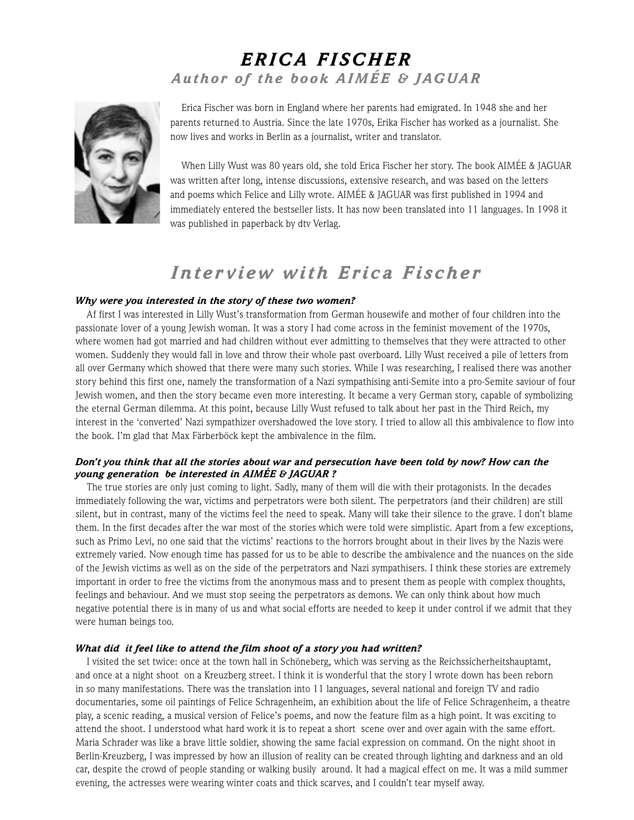### *ERICA FISCHER Author of the book AIMÉE & JAGUAR*



Erica Fischer was born in England where her parents had emigrated. In 1948 she and her parents returned to Austria. Since the late 1970s, Erika Fischer has worked as a journalist. She now lives and works in Berlin as a journalist, writer and translator.

When Lilly Wust was 80 years old, she told Erica Fischer her story. The book AIMÉE & JAGUAR was written after long, intense discussions, extensive research, and was based on the letters and poems which Felice and Lilly wrote. AIMÉE & JAGUAR was first published in 1994 and immediately entered the bestseller lists. It has now been translated into 11 languages. In 1998 it was published in paperback by dtv Verlag.

### *Inter view with Erica Fischer*

#### *Why were you interested in the story of these two women?*

Af first I was interested in Lilly Wust's transformation from German housewife and mother of four children into the passionate lover of a young Jewish woman. It was a story I had come across in the feminist movement of the 1970s, where women had got married and had children without ever admitting to themselves that they were attracted to other women. Suddenly they would fall in love and throw their whole past overboard. Lilly Wust received a pile of letters from all over Germany which showed that there were many such stories. While I was researching, I realised there was another story behind this first one, namely the transformation of a Nazi sympathising anti-Semite into a pro-Semite saviour of four Jewish women, and then the story became even more interesting. It became a very German story, capable of symbolizing the eternal German dilemma. At this point, because Lilly Wust refused to talk about her past in the Third Reich, my interest in the 'converted' Nazi sympathizer overshadowed the love story. I tried to allow all this ambivalence to flow into the book. I'm glad that Max Färberböck kept the ambivalence in the film.

#### *Don't you think that all the stories about war and persecution have been told by now? How can the young generation be interested in AIMÉE & JAGUAR ?*

The true stories are only just coming to light. Sadly, many of them will die with their protagonists. In the decades immediately following the war, victims and perpetrators were both silent. The perpetrators (and their children) are still silent, but in contrast, many of the victims feel the need to speak. Many will take their silence to the grave. I don't blame them. In the first decades after the war most of the stories which were told were simplistic. Apart from a few exceptions, such as Primo Levi, no one said that the victims' reactions to the horrors brought about in their lives by the Nazis were extremely varied. Now enough time has passed for us to be able to describe the ambivalence and the nuances on the side of the Jewish victims as well as on the side of the perpetrators and Nazi sympathisers. I think these stories are extremely important in order to free the victims from the anonymous mass and to present them as people with complex thoughts, feelings and behaviour. And we must stop seeing the perpetrators as demons. We can only think about how much negative potential there is in many of us and what social efforts are needed to keep it under control if we admit that they were human beings too.

#### *What did it feel like to attend the film shoot of a story you had written?*

I visited the set twice: once at the town hall in Schöneberg, which was serving as the Reichssicherheitshauptamt, and once at a night shoot on a Kreuzberg street. I think it is wonderful that the story I wrote down has been reborn in so many manifestations. There was the translation into 11 languages, several national and foreign TV and radio documentaries, some oil paintings of Felice Schragenheim, an exhibition about the life of Felice Schragenheim, a theatre play, a scenic reading, a musical version of Felice's poems, and now the feature film as a high point. It was exciting to attend the shoot. I understood what hard work it is to repeat a short scene over and over again with the same effort. Maria Schrader was like a brave little soldier, showing the same facial expression on command. On the night shoot in Berlin-Kreuzberg, I was impressed by how an illusion of reality can be created through lighting and darkness and an old car, despite the crowd of people standing or walking busily around. It had a magical effect on me. It was a mild summer evening, the actresses were wearing winter coats and thick scarves, and I couldn't tear myself away.